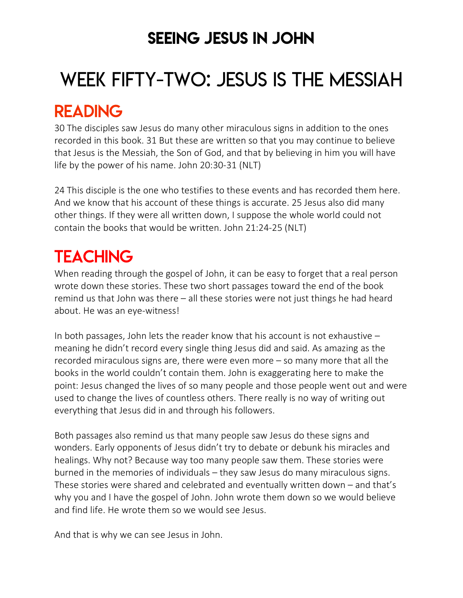### SEEING JESUS IN JOHN

# WEEK FIFTY-TWO: JESUS IS THE MESSIAH

### READING

30 The disciples saw Jesus do many other miraculous signs in addition to the ones recorded in this book. 31 But these are written so that you may continue to believe that Jesus is the Messiah, the Son of God, and that by believing in him you will have life by the power of his name. John 20:30-31 (NLT)

24 This disciple is the one who testifies to these events and has recorded them here. And we know that his account of these things is accurate. 25 Jesus also did many other things. If they were all written down, I suppose the whole world could not contain the books that would be written. John 21:24-25 (NLT)

## **TEACHING**

When reading through the gospel of John, it can be easy to forget that a real person wrote down these stories. These two short passages toward the end of the book remind us that John was there – all these stories were not just things he had heard about. He was an eye-witness!

In both passages, John lets the reader know that his account is not exhaustive  $$ meaning he didn't record every single thing Jesus did and said. As amazing as the recorded miraculous signs are, there were even more – so many more that all the books in the world couldn't contain them. John is exaggerating here to make the point: Jesus changed the lives of so many people and those people went out and were used to change the lives of countless others. There really is no way of writing out everything that Jesus did in and through his followers.

Both passages also remind us that many people saw Jesus do these signs and wonders. Early opponents of Jesus didn't try to debate or debunk his miracles and healings. Why not? Because way too many people saw them. These stories were burned in the memories of individuals – they saw Jesus do many miraculous signs. These stories were shared and celebrated and eventually written down – and that's why you and I have the gospel of John. John wrote them down so we would believe and find life. He wrote them so we would see Jesus.

And that is why we can see Jesus in John.